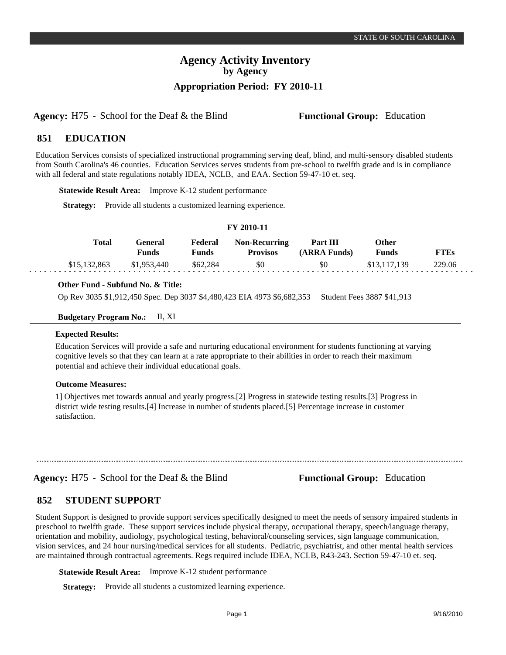## **Agency Activity Inventory by Agency Appropriation Period: FY 2010-11**

**Agency:** H75 - School for the Deaf & the Blind **Functional Group:** Education

#### **EDUCATION 851**

Education Services consists of specialized instructional programming serving deaf, blind, and multi-sensory disabled students from South Carolina's 46 counties. Education Services serves students from pre-school to twelfth grade and is in compliance with all federal and state regulations notably IDEA, NCLB, and EAA. Section 59-47-10 et. seq.

**Statewide Result Area:** Improve K-12 student performance

**Strategy:** Provide all students a customized learning experience.

## **FY 2010-11**

| <b>Total</b> | General)<br><b>Funds</b> | Federal<br>Funds | <b>Non-Recurring</b><br><b>Provisos</b> | <b>Part III</b><br>(ARRA Funds) | Other<br><b>Funds</b> | <b>FTEs</b> |
|--------------|--------------------------|------------------|-----------------------------------------|---------------------------------|-----------------------|-------------|
| \$15,132,863 | \$1,953,440              | \$62.284         | \$0                                     | \$0                             | \$13,117,139          | 229.06      |

#### **Other Fund - Subfund No. & Title:**

Op Rev 3035 \$1,912,450 Spec. Dep 3037 \$4,480,423 EIA 4973 \$6,682,353 Student Fees 3887 \$41,913

**Budgetary Program No.:** II, XI

#### **Expected Results:**

Education Services will provide a safe and nurturing educational environment for students functioning at varying cognitive levels so that they can learn at a rate appropriate to their abilities in order to reach their maximum potential and achieve their individual educational goals.

#### **Outcome Measures:**

1] Objectives met towards annual and yearly progress.[2] Progress in statewide testing results.[3] Progress in district wide testing results.[4] Increase in number of students placed.[5] Percentage increase in customer satisfaction.

**Agency:** H75 - School for the Deaf & the Blind **Functional Group:** Education

#### **STUDENT SUPPORT 852**

Student Support is designed to provide support services specifically designed to meet the needs of sensory impaired students in preschool to twelfth grade. These support services include physical therapy, occupational therapy, speech/language therapy, orientation and mobility, audiology, psychological testing, behavioral/counseling services, sign language communication, vision services, and 24 hour nursing/medical services for all students. Pediatric, psychiatrist, and other mental health services are maintained through contractual agreements. Regs required include IDEA, NCLB, R43-243. Section 59-47-10 et. seq.

**Statewide Result Area:** Improve K-12 student performance

**Strategy:** Provide all students a customized learning experience.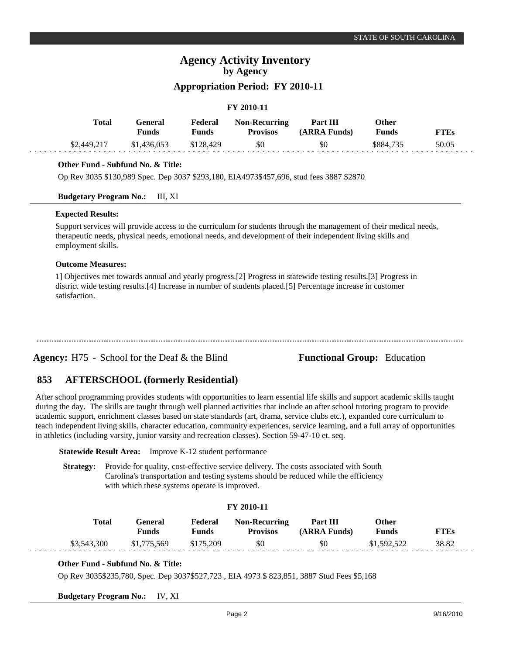## **Agency Activity Inventory by Agency**

## **Appropriation Period: FY 2010-11**

#### **FY 2010-11**

| Total       | General<br><b>Funds</b> | Federal<br>Funds | <b>Non-Recurring</b><br><b>Provisos</b> | Part III<br>(ARRA Funds) | Other<br><b>Funds</b> | FTEs  |
|-------------|-------------------------|------------------|-----------------------------------------|--------------------------|-----------------------|-------|
| \$2,449,217 | \$1,436,053             | \$128,429        | \$0                                     | \$0                      | \$884.735             | 50.05 |

### **Other Fund - Subfund No. & Title:**

Op Rev 3035 \$130,989 Spec. Dep 3037 \$293,180, EIA4973\$457,696, stud fees 3887 \$2870

#### **Budgetary Program No.:** III, XI

#### **Expected Results:**

Support services will provide access to the curriculum for students through the management of their medical needs, therapeutic needs, physical needs, emotional needs, and development of their independent living skills and employment skills.

#### **Outcome Measures:**

1] Objectives met towards annual and yearly progress.[2] Progress in statewide testing results.[3] Progress in district wide testing results.[4] Increase in number of students placed.[5] Percentage increase in customer satisfaction.

**Agency:** H75 - School for the Deaf & the Blind **Functional Group:** Education

#### **AFTERSCHOOL (formerly Residential) 853**

After school programming provides students with opportunities to learn essential life skills and support academic skills taught during the day. The skills are taught through well planned activities that include an after school tutoring program to provide academic support, enrichment classes based on state standards (art, drama, service clubs etc.), expanded core curriculum to teach independent living skills, character education, community experiences, service learning, and a full array of opportunities in athletics (including varsity, junior varsity and recreation classes). Section 59-47-10 et. seq.

**Statewide Result Area:** Improve K-12 student performance

**Strategy:** Provide for quality, cost-effective service delivery. The costs associated with South Carolina's transportation and testing systems should be reduced while the efficiency with which these systems operate is improved.

#### **FY 2010-11**

| <b>Total</b> | General)<br>Funds | Federal<br>Funds | <b>Non-Recurring</b><br><b>Provisos</b> | Part III<br>(ARRA Funds) | Other<br><b>Funds</b> | <b>TTEs</b> |
|--------------|-------------------|------------------|-----------------------------------------|--------------------------|-----------------------|-------------|
| \$3,543,300  | \$1,775,569       | \$175,209        | \$0                                     | \$0                      | \$1,592,522           | 38.82       |

### **Other Fund - Subfund No. & Title:**

Op Rev 3035\$235,780, Spec. Dep 3037\$527,723 , EIA 4973 \$ 823,851, 3887 Stud Fees \$5,168

**Budgetary Program No.:** IV, XI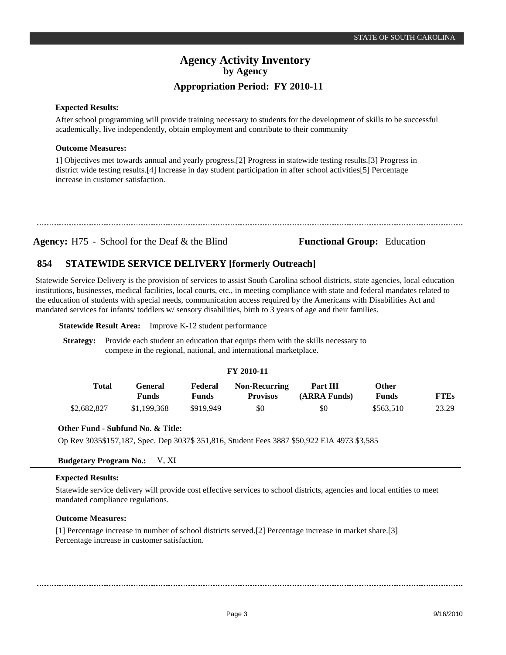## **Agency Activity Inventory by Agency Appropriation Period: FY 2010-11**

#### **Expected Results:**

After school programming will provide training necessary to students for the development of skills to be successful academically, live independently, obtain employment and contribute to their community

#### **Outcome Measures:**

1] Objectives met towards annual and yearly progress.[2] Progress in statewide testing results.[3] Progress in district wide testing results.[4] Increase in day student participation in after school activities[5] Percentage increase in customer satisfaction.

**Agency:** H75 - School for the Deaf & the Blind **Functional Group:** Education

#### **STATEWIDE SERVICE DELIVERY [formerly Outreach] 854**

Statewide Service Delivery is the provision of services to assist South Carolina school districts, state agencies, local education institutions, businesses, medical facilities, local courts, etc., in meeting compliance with state and federal mandates related to the education of students with special needs, communication access required by the Americans with Disabilities Act and mandated services for infants/ toddlers w/ sensory disabilities, birth to 3 years of age and their families.

#### **Statewide Result Area:** Improve K-12 student performance

**Strategy:** Provide each student an education that equips them with the skills necessary to compete in the regional, national, and international marketplace.

#### **FY 2010-11**

| Total       | General<br>Funds | Federal<br>Funds | <b>Non-Recurring</b><br><b>Provisos</b> | Part III<br>(ARRA Funds) | Other<br><b>Funds</b> | <b>FTEs</b> |
|-------------|------------------|------------------|-----------------------------------------|--------------------------|-----------------------|-------------|
| \$2,682,827 | \$1,199,368      | \$919.949        | \$0                                     | SO.                      | \$563.510             | 23.29       |

### **Other Fund - Subfund No. & Title:**

Op Rev 3035\$157,187, Spec. Dep 3037\$ 351,816, Student Fees 3887 \$50,922 EIA 4973 \$3,585

## **Budgetary Program No.:** V, XI

#### **Expected Results:**

Statewide service delivery will provide cost effective services to school districts, agencies and local entities to meet mandated compliance regulations.

#### **Outcome Measures:**

[1] Percentage increase in number of school districts served.[2] Percentage increase in market share.[3] Percentage increase in customer satisfaction.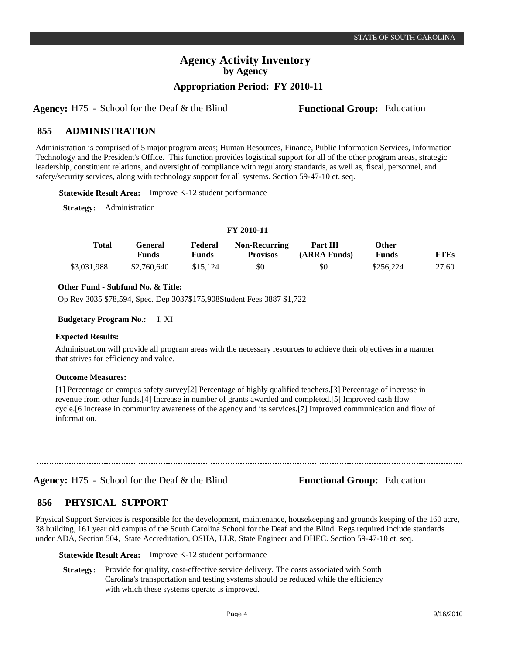# **Agency Activity Inventory by Agency**

**Appropriation Period: FY 2010-11**

**Agency:** H75 - School for the Deaf & the Blind **Functional Group:** Education

#### **ADMINISTRATION 855**

Administration is comprised of 5 major program areas; Human Resources, Finance, Public Information Services, Information Technology and the President's Office. This function provides logistical support for all of the other program areas, strategic leadership, constituent relations, and oversight of compliance with regulatory standards, as well as, fiscal, personnel, and safety/security services, along with technology support for all systems. Section 59-47-10 et. seq.

**Statewide Result Area:** Improve K-12 student performance

**Strategy:** Administration

| Total       | General<br><b>Funds</b> | Federal<br>Funds | <b>Non-Recurring</b><br><b>Provisos</b> | Part III<br>(ARRA Funds) | Other<br><b>Funds</b> | <b>FTEs</b> |  |
|-------------|-------------------------|------------------|-----------------------------------------|--------------------------|-----------------------|-------------|--|
| \$3,031,988 | \$2,760,640             | \$15.124         | \$0                                     | \$0                      | \$256.224             | 27.60       |  |

**FY 2010-11**

### **Other Fund - Subfund No. & Title:**

Op Rev 3035 \$78,594, Spec. Dep 3037\$175,908Student Fees 3887 \$1,722

#### **Budgetary Program No.:** I, XI

#### **Expected Results:**

Administration will provide all program areas with the necessary resources to achieve their objectives in a manner that strives for efficiency and value.

#### **Outcome Measures:**

[1] Percentage on campus safety survey[2] Percentage of highly qualified teachers.[3] Percentage of increase in revenue from other funds.[4] Increase in number of grants awarded and completed.[5] Improved cash flow cycle.[6 Increase in community awareness of the agency and its services.[7] Improved communication and flow of information.

**Agency:** H75 - School for the Deaf & the Blind **Functional Group:** Education

#### **PHYSICAL SUPPORT 856**

Physical Support Services is responsible for the development, maintenance, housekeeping and grounds keeping of the 160 acre, 38 building, 161 year old campus of the South Carolina School for the Deaf and the Blind. Regs required include standards under ADA, Section 504, State Accreditation, OSHA, LLR, State Engineer and DHEC. Section 59-47-10 et. seq.

**Statewide Result Area:** Improve K-12 student performance

**Strategy:** Provide for quality, cost-effective service delivery. The costs associated with South Carolina's transportation and testing systems should be reduced while the efficiency with which these systems operate is improved.